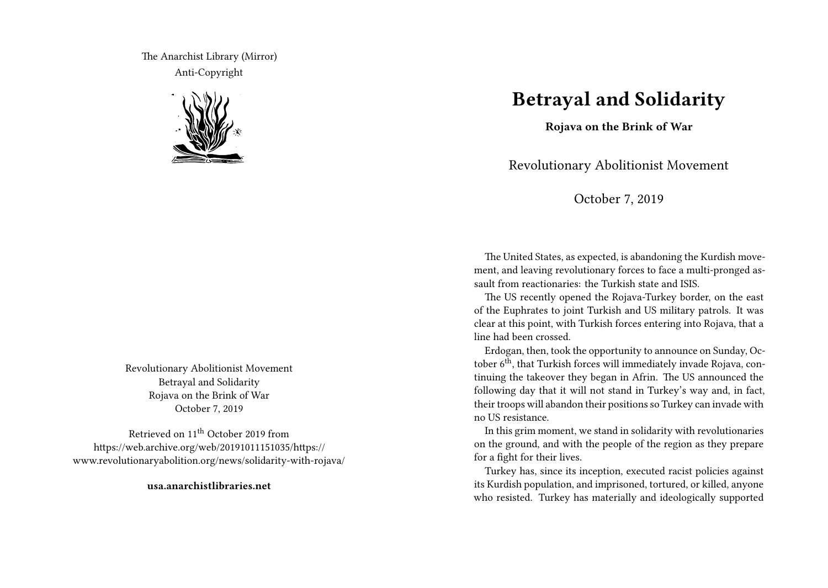The Anarchist Library (Mirror) Anti-Copyright



Revolutionary Abolitionist Movement Betrayal and Solidarity Rojava on the Brink of War October 7, 2019

Retrieved on 11th October 2019 from https://web.archive.org/web/20191011151035/https:// www.revolutionaryabolition.org/news/solidarity-with-rojava/

**usa.anarchistlibraries.net**

## **Betrayal and Solidarity**

**Rojava on the Brink of War**

Revolutionary Abolitionist Movement

October 7, 2019

The United States, as expected, is abandoning the Kurdish movement, and leaving revolutionary forces to face a multi-pronged assault from reactionaries: the Turkish state and ISIS.

The US recently opened the Rojava-Turkey border, on the east of the Euphrates to joint Turkish and US military patrols. It was clear at this point, with Turkish forces entering into Rojava, that a line had been crossed.

Erdogan, then, took the opportunity to announce on Sunday, October 6<sup>th</sup>, that Turkish forces will immediately invade Rojava, continuing the takeover they began in Afrin. The US announced the following day that it will not stand in Turkey's way and, in fact, their troops will abandon their positions so Turkey can invade with no US resistance.

In this grim moment, we stand in solidarity with revolutionaries on the ground, and with the people of the region as they prepare for a fight for their lives.

Turkey has, since its inception, executed racist policies against its Kurdish population, and imprisoned, tortured, or killed, anyone who resisted. Turkey has materially and ideologically supported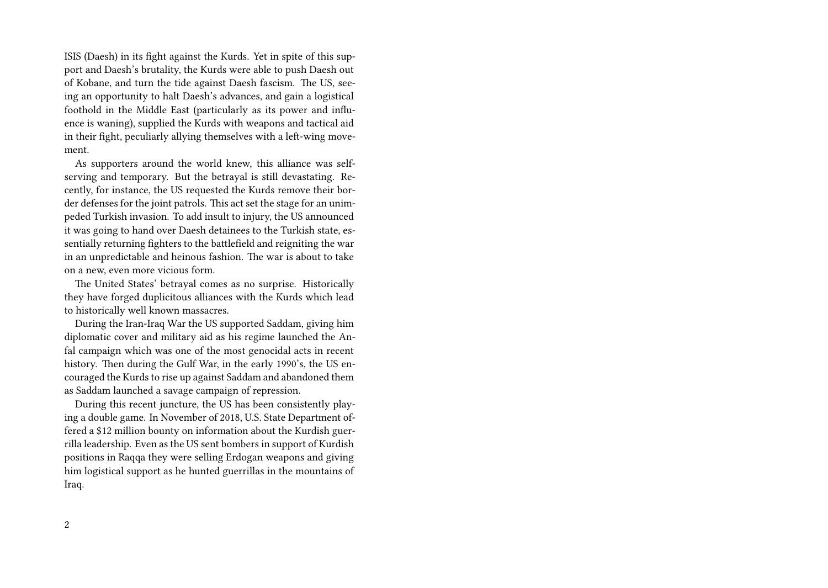ISIS (Daesh) in its fight against the Kurds. Yet in spite of this support and Daesh's brutality, the Kurds were able to push Daesh out of Kobane, and turn the tide against Daesh fascism. The US, seeing an opportunity to halt Daesh's advances, and gain a logistical foothold in the Middle East (particularly as its power and influence is waning), supplied the Kurds with weapons and tactical aid in their fight, peculiarly allying themselves with a left-wing movement.

As supporters around the world knew, this alliance was selfserving and temporary. But the betrayal is still devastating. Recently, for instance, the US requested the Kurds remove their border defenses for the joint patrols. This act set the stage for an unimpeded Turkish invasion. To add insult to injury, the US announced it was going to hand over Daesh detainees to the Turkish state, essentially returning fighters to the battlefield and reigniting the war in an unpredictable and heinous fashion. The war is about to take on a new, even more vicious form.

The United States' betrayal comes as no surprise. Historically they have forged duplicitous alliances with the Kurds which lead to historically well known massacres.

During the Iran-Iraq War the US supported Saddam, giving him diplomatic cover and military aid as his regime launched the Anfal campaign which was one of the most genocidal acts in recent history. Then during the Gulf War, in the early 1990's, the US encouraged the Kurds to rise up against Saddam and abandoned them as Saddam launched a savage campaign of repression.

During this recent juncture, the US has been consistently playing a double game. In November of 2018, U.S. State Department offered a \$12 million bounty on information about the Kurdish guerrilla leadership. Even as the US sent bombers in support of Kurdish positions in Raqqa they were selling Erdogan weapons and giving him logistical support as he hunted guerrillas in the mountains of Iraq.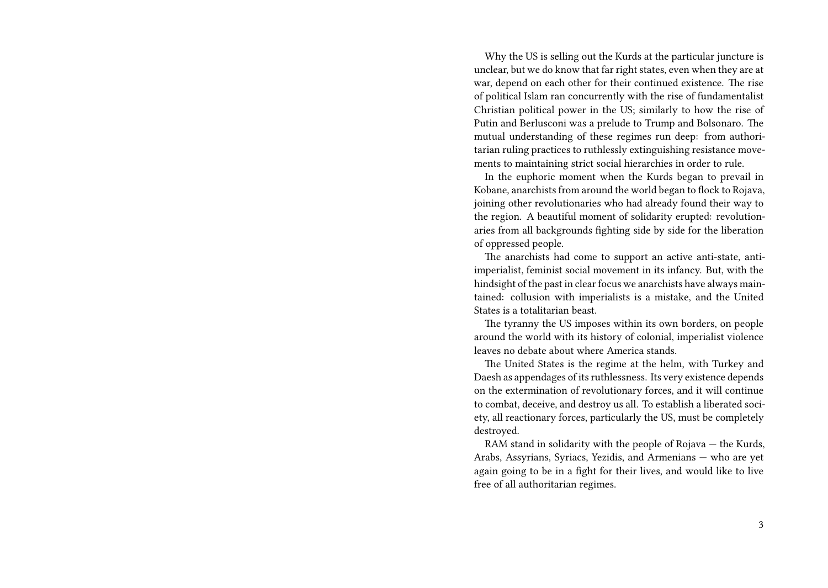Why the US is selling out the Kurds at the particular juncture is unclear, but we do know that far right states, even when they are at war, depend on each other for their continued existence. The rise of political Islam ran concurrently with the rise of fundamentalist Christian political power in the US; similarly to how the rise of Putin and Berlusconi was a prelude to Trump and Bolsonaro. The mutual understanding of these regimes run deep: from authoritarian ruling practices to ruthlessly extinguishing resistance movements to maintaining strict social hierarchies in order to rule.

In the euphoric moment when the Kurds began to prevail in Kobane, anarchists from around the world began to flock to Rojava, joining other revolutionaries who had already found their way to the region. A beautiful moment of solidarity erupted: revolutionaries from all backgrounds fighting side by side for the liberation of oppressed people.

The anarchists had come to support an active anti-state, antiimperialist, feminist social movement in its infancy. But, with the hindsight of the past in clear focus we anarchists have always maintained: collusion with imperialists is a mistake, and the United States is a totalitarian beast.

The tyranny the US imposes within its own borders, on people around the world with its history of colonial, imperialist violence leaves no debate about where America stands.

The United States is the regime at the helm, with Turkey and Daesh as appendages of its ruthlessness. Its very existence depends on the extermination of revolutionary forces, and it will continue to combat, deceive, and destroy us all. To establish a liberated society, all reactionary forces, particularly the US, must be completely destroyed.

RAM stand in solidarity with the people of Rojava — the Kurds, Arabs, Assyrians, Syriacs, Yezidis, and Armenians — who are yet again going to be in a fight for their lives, and would like to live free of all authoritarian regimes.